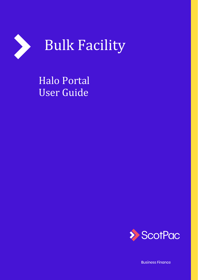

Halo Portal User Guide



**Business Finance**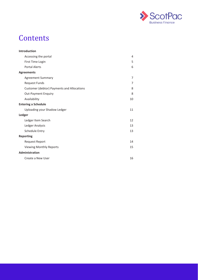

### **Contents**

| <b>Introduction</b>                               |    |
|---------------------------------------------------|----|
| Accessing the portal                              | 4  |
| First Time Login                                  | 5  |
| <b>Portal Alerts</b>                              | 6  |
| <b>Agreements</b>                                 |    |
| <b>Agreement Summary</b>                          | 7  |
| <b>Request Funds</b>                              | 7  |
| <b>Customer (debtor) Payments and Allocations</b> | 8  |
| <b>Out-Payment Enquiry</b>                        | 8  |
| Availability                                      | 10 |
| <b>Entering a Schedule</b>                        |    |
| Uploading your Shadow Ledger                      | 11 |
| Ledger                                            |    |
| Ledger Item Search                                | 12 |
| Ledger Analysis                                   | 13 |
| <b>Schedule Entry</b>                             | 13 |
| <b>Reporting</b>                                  |    |
| <b>Request Report</b>                             | 14 |
| <b>Viewing Monthly Reports</b>                    | 15 |
| Administration                                    |    |
| Create a New User                                 | 16 |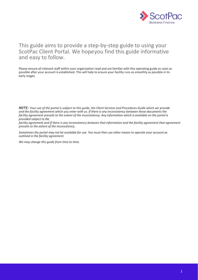

#### This guide aims to provide a step-by-step guide to using your ScotPac Client Portal. We hopeyou find this guide informative and easy to follow.

Please ensure all relevant staff within your organisation read and are familiar with this operating guide as soon as possible after your account is established. This will help to ensure your facility runs as smoothly as possible in its early stages.

*NOTE: Your use of the portal is subject to this guide, the Client Services and Procedures Guide which we provide and the facility agreement which you enter with us. If there is any inconsistency between those documents the facility agreement prevails to the extent of the inconsistency. Any information which is available on the portal is provided subject to the*

facility agreement and if there is any inconsistency between that information and the facility agreement that agreement *prevails to the extent of the inconsistency.*

*Sometimes the portal may not be available for use. You must then use other means to operate your account as outlined in the facility agreement.*

*We may change this guide from time to time.*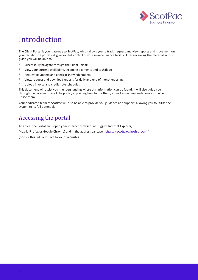

### Introduction

The Client Portal is your gateway to ScotPac, which allows you to track, request and view reports and movement on your facility. The portal will give you full control of your invoice finance facility. After reviewing the material in this guide you will be able to:

- Successfully navigate through the Client Portal;
- \* View your current availability, incoming payments and cashflow;
- \* Request payments and check acknowledgements;
- \* View, request and download reports for daily and end of monthreporting;
- \* Upload invoice and credit note schedules.

This document will assist you in understanding where this information can be found. It will also guide you through the core features of the portal, explaining how to use them, as well as recommendations as to when to utilise them.

Your dedicated team at ScotPac will also be able to provide you guidance and support, allowing you to utilise the system to its full potential.

#### <span id="page-3-0"></span>Accessing the portal

To access the Portal, first open your internet browser (we suggest Internet Explorer,

Mozilla Firefox or Google Chrome) and in the address bar type https://scotpac.hpdsc.com/

(or click this link) and save to your favourites.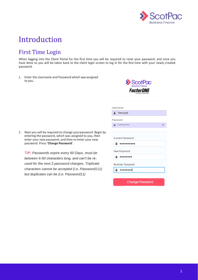

### Introduction

#### <span id="page-4-0"></span>First Time Login

When logging into the Client Portal for the first time you will be required to reset your password, and once you have done so you will be taken back to the client login screen to log in for the first time with your newly created password.

1. Enter the Username and Password which was assigned to you.



| Username                 |   |  |  |  |  |  |  |
|--------------------------|---|--|--|--|--|--|--|
| <b>A</b> Testuser        |   |  |  |  |  |  |  |
| Password                 |   |  |  |  |  |  |  |
| A                        | ⊛ |  |  |  |  |  |  |
|                          |   |  |  |  |  |  |  |
| <b>Current Password</b>  |   |  |  |  |  |  |  |
| A<br>,,,,,,,             |   |  |  |  |  |  |  |
| New Password             |   |  |  |  |  |  |  |
| А<br><b>.</b>            |   |  |  |  |  |  |  |
| <b>Re-Enter Password</b> |   |  |  |  |  |  |  |
|                          |   |  |  |  |  |  |  |
|                          |   |  |  |  |  |  |  |
| <b>Change Password</b>   |   |  |  |  |  |  |  |

2. Next you will be required to change yourpassword. Begin by entering the password, which was assigned to you, then enter your new password, and then re-enter your new password. Press '**Change Password**'.

*TIP: Passwords expire every 60 Days, must be between 6-50 characters long, and can't be reused for the next 2 password changes. Triplicate characters cannot be accepted (i.e. Password111) but duplicates can be (i.e. Password11)*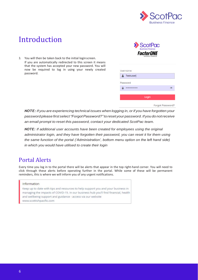

### Introduction

3. You will then be taken back to the initial loginscreen. If you are automatically redirected to this screen it means that the system has accepted your new password. You will now be required to log in using your newly created password.



|         | Jsername |  |
|---------|----------|--|
|         | Festuser |  |
| assword |          |  |
|         |          |  |
|         | Login    |  |

Forgot Password?

*NOTE: If you are experiencing technical issues when logging in,or if you have forgotten your password please first select"ForgotPassword?"toreset yourpassword. If you do notreceive an email prompt to reset this password, contact your dedicated ScotPac team.*

 $\begin{array}{c} \end{array}$ 

*NOTE: If additional user accounts have been created for employees using the original administrator login, and they have forgotten their password, you can reset it for them using the same function of the portal ('Administration', bottom menu option on the left hand side) in which you would have utilised to create their login*

#### <span id="page-5-0"></span>Portal Alerts

Every time you log in to the portal there will be alerts that appear in the top right-hand corner. You will need to click through these alerts before operating further in the portal. While some of these will be permanent reminders, this is where we will inform you of any urgent notifications.

#### Information

Keep up to date with tips and resources to help support you and your business in managing the impacts of COVID-19. In our business hub you'll find financial, health and wellbeing support and guidance - access via our website www.scottishpacific.com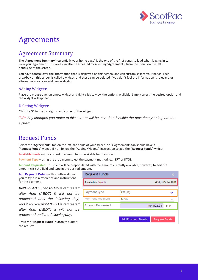

#### <span id="page-6-0"></span>Agreement Summary

The '**Agreement Summary**' (essentially your home page) is the one of the first pages to load when logging in to view your agreement. This area can also be accessed by selecting 'Agreements' from the menu on the lefthand side of the screen.

You have control over the information that is displayed on this screen, and can customise it to your needs. Each area/box on this screen is called a widget, and these can be deleted if you don't feel the information is relevant, or alternatively you can add new widgets.

#### Adding Widgets:

Place the mouse over an empty widget and right click to view the options available. Simply select the desired option and the widget will appear.

#### Deleting Widgets:

Click the '**X**' in the top right-hand corner of the widget.

*TIP: Any changes you make to this screen will be saved and visible the next time you log into the system.*

#### <span id="page-6-1"></span>Request Funds

Select the '**Agreements**' tab on the left-hand side of your screen. Your Agreements tab should have a '**Request Funds**' widget. If not, follow the "Adding Widgets" instruction to add the "**Request Funds**" widget.

**Available funds** – your current maximum funds available for drawdown.

**Payment Type** – using the drop menu select the payment method, e.g. EFT or RTGS.

**Amount Requested** – this field will be prepopulated with the amount currently available, however, to edit the amount click the field and type in the desired amount.

**Add Payment Details** – this button allows you to type in a reference and instructions for the payment.

*IMPORTANT: If an RTGS is requested after 4pm (AEDT) it will not be processed until the following day, and if an overnight (EFT) is requested after 6pm (AEDT) it will not be processed until the following day.*

**Request Funds** 454,825.34 AUD **Available Funds Payment Type** EFT(31) Payment Recipient Main Amount Requested 454,825.34 **AUD Add Payment Details Request Funds** 

Press the '**Request Funds**' button to submit the request.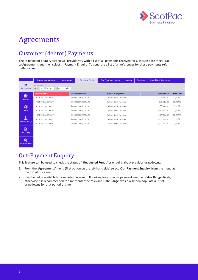

### Customer (debtor) Payments

The In-payment enquiry screen will provide you with a list of all payments received for a chosen date range. Go to Agreements and then select In-Payment Enquiry. To generate a list of all references for these payments refer to Reporting.

|                            | <b>Agreement Summary</b>                                      | <b>Movements</b>                           | In-Payment Enquiry                         |  | <b>Out-Payment Enquiry</b> | Ageing        | <b>Statistics</b> | <b>Portal Help Resources</b> |                   |
|----------------------------|---------------------------------------------------------------|--------------------------------------------|--------------------------------------------|--|----------------------------|---------------|-------------------|------------------------------|-------------------|
| $\mathbb{C}$<br>Agreements | Date Range<br>From   32/10/20                                 |                                            |                                            |  |                            |               |                   |                              |                   |
| 帶                          | <b>Debtor Name</b>                                            | $\bullet$                                  | <b>Debtor Reference</b>                    |  | Type of In-payment         |               |                   | Amount SAC                   | <b>Entry Date</b> |
| <b>Debtors</b>             | CONTROL ACCOUNT                                               |                                            | 9000000001/001 AUD                         |  | Debtor Bank Transfer       |               |                   | $-1,173.65$ AUD              | 22/10/20          |
|                            | 9000000001/001 AUD<br>CONTROL ACCOUNT<br>Debtor Bank Transfer |                                            |                                            |  |                            |               | $-797.44$ AUD     | 22/10/20                     |                   |
| 昂                          | 9000000001/001 AUD<br>Debtor Bank Transfer<br>CONTROL ACCOUNT |                                            |                                            |  |                            |               | $-7,583.84$ AUD   | 22/10/20                     |                   |
| Ledger                     | CONTROL ACCOUNT                                               |                                            | 9000000001/001 AUD<br>Debtor Bank Transfer |  |                            |               |                   | $-647.00$ AUD                | 22/10/20          |
|                            | CONTROL ACCOUNT                                               | 9000000001/001 AUD<br>Debtor Bank Transfer |                                            |  |                            |               | $-4,672.18$ AUD   | 22/10/20                     |                   |
| Data Exchange              | CONTROL ACCOUNT                                               | 9000000001/001 AUD                         |                                            |  | Debtor Bank Transfer       | $-550.55$ AUD | 22/10/20          |                              |                   |
|                            | CONTROL ACCOUNT                                               |                                            | 9000000001/001 AUD                         |  | Debtor Bank Transfer       |               |                   | $-2,662.00$ AUD              | 22/10/20          |
| 目<br>Reporting             |                                                               |                                            |                                            |  |                            |               |                   |                              |                   |

#### <span id="page-7-0"></span>Out-Payment Enquiry

୦୧

This feature can be used to check the status of '**Requested Funds**' or enquire about previous drawdowns.

- 1. From the 'Agreements' menu (first option on the left-hand side) select 'Out-Payment Enquiry' from the menu at the top of the screen.
- 2. Use the fields available to complete the search. If looking for a specific payment use the '**Value Range**' fields, otherwise it is recommended to simply enter the relevant '**Date Range**' which will then populate a list of drawdowns for that period oftime.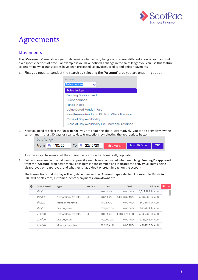

#### Movements

The '**Movements**' area allows you to determine what activity has gone on across different areas of your account over specific periods of time. For example if you have noticed a change in the sales ledger you can use this feature to determine what transactions have been processed i.e. invoices, credits and debtor payments.

1. First you need to conduct the search by selecting the '**Account**' area you are enquiring about.



2. Next you need to select the '**Date Range**' you are enquiring about. Alternatively, you can also simply view the current month, last 30 days or year to date transactions by selecting the appropriate button.



- 3. As soon as you have entered the criteria the results will automaticallypopulate.
- 4. Below is an example of what would appear if a search was conducted when searching '**Funding Disapproved**' from the '**Account**' drop down menu. Each item is date stamped and indicates the activity i.e. items being disapproved or reapproved, and whether it has a debit or credit impact on the account.

The transactions that display will vary depending on the '**Account**' type selected. For example '**Funds in Use**' will display fees, customer (debtor) payments, drawdowns etc.

| O | Date Entered | Type                 | No. Txns | Debit       | Credit         | Balance          | 図 | 王 |
|---|--------------|----------------------|----------|-------------|----------------|------------------|---|---|
|   | 1/10/20      |                      |          | 0.00 AUD    | 0.00 AUD       | 2678,883.94 AUD  |   |   |
|   | 1/10/20      | Debtor Bank Transfer | 22       | 0.00 AUD    | 74,080.02 AUD  | 2,604,803.92 AUD |   |   |
|   | 1/10/20      | Management fee       |          | 16.02 AUD   | 0.00 AUD       | 2,604,819.94 AUD |   |   |
|   | 1/10/20      | Out payment          |          | 200,000.00  | 0.00 AUD       | 2,804,819.94 AUD |   |   |
|   | 2/10/20      | Debtor Bank Transfer | 21       | 0.00 AUD    | 160,851.20 AUD | 2643,968.74 AUD  |   |   |
|   | 2/10/20      | Out payment          |          | 80,000.00 A | 0.00 AUD       | 2.723.968.74 AUD |   |   |
|   | 2/10/20      | Management fee       |          | 166.80 AUD  | 0.00 AUD       | 2,724,135.54 AUD |   |   |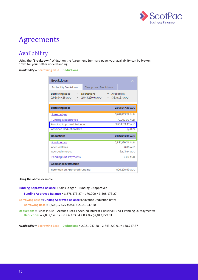

### <span id="page-9-0"></span>Availability

Using the "**Breakdown**" Widget on the Agreement Summary page, your availability can be broken down for your better understanding:

*Availability* = **Borrowing Base** – **Deductions** 

| Breakdown                                                                                          |                                    |
|----------------------------------------------------------------------------------------------------|------------------------------------|
| Disapproved Breakdown<br><b>Availability Breakdown</b>                                             |                                    |
| - Deductions <b>Company</b><br><b>Borrowing Base</b><br>2,981,947.28 AUD - 2,843,229.91 AUD<br>$=$ | $=$ Availability<br>138,717.37 AUD |
| <b>Borrowing Base</b>                                                                              | 2,981,947.28 AUD                   |
| <b>Sales Ledger</b>                                                                                | 3,678,173.27 AUD                   |
| <b>Funding Disapproved</b>                                                                         | 170,000.00 AUD                     |
| <b>Funding Approved Balance</b>                                                                    | 3,508,173.27 AUD                   |
| <b>Advance Deduction Rate</b>                                                                      | @ 85%                              |
| <b>Deductions</b>                                                                                  | 2,843,229.91 AUD                   |
| <b>Funds in Use</b>                                                                                | 2,837,126.37 AUD                   |
| <b>Accrued Fees</b>                                                                                | 0.00 AUD                           |
| <b>Accrued Interest</b>                                                                            | 6,103.54 AUD                       |
| <u>Pending Out-Payments</u>                                                                        | 0.00 AUD                           |
| <b>Additional Information</b>                                                                      |                                    |
| Retention on Approved Funding                                                                      | 526,225.99 AUD                     |

Using the above example:

**Funding Approved Balance** = Sales Ledger – Funding Disapproved:

**Funding Approved Balance** = 3,678,173.27 – 170,000 = 3,508,173.27

**Borrowing Base** = **Funding Approved Balance** x Advance Deduction Rate:

**Borrowing Base** = 3,508,173.27 x 85% = 2,981,947.28

**Deductions** = Fundsin Use + Accrued Fees + Accrued Interest + Reserve Fund + Pending Outpayments: **Deductions** = 2,837,126.37 + 0 + 6,103.54 + 0 + 0 = \$2,843,229.91

*Availability* = **Borrowing Base** – **Deductions** = 2,981,947.28 – 2,843,229.91 = 138,717.37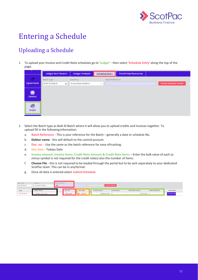

# <span id="page-10-0"></span>Entering a Schedule

### Uploading a Schedule

1. To upload your Invoice and Credit Note schedules go to '**Ledger**' - then select '**Schedule Entry**' along the top of the page.

|                            | Ledger Item Search                                        | <b>Ledger Analysis</b>                | <b>Schedule Entry</b>                   | <b>Portal Help Resources</b> |                               |
|----------------------------|-----------------------------------------------------------|---------------------------------------|-----------------------------------------|------------------------------|-------------------------------|
| $\mathbb{C}$<br>Agreements | <b>Batch Type</b><br><b>Bulk ID Batch</b><br>$\checkmark$ | Currency<br><b>Australian Dollars</b> | <b>Batch Reference</b><br>$\mathcal{A}$ |                              | <b>Create Schedule Header</b> |
| 併<br><b>Debtors</b>        |                                                           |                                       |                                         |                              |                               |
| 6<br>Ledger                |                                                           |                                       |                                         |                              |                               |

- 2. Select the Batch type as Bulk ID Batch where it will allow you to upload credits and invoices together. To upload fill in the following information:
	- a. **Batch Reference** This is your reference for the Batch generally a date or schedule No.
	- b. **Debtor name**  this will default to the control account.
	- c. **Doc. no.**  Use the same as the batch reference for ease oftracking.
	- d. **Doc date**  Todays Date
	- e. **Invoice amount, Invoice Items, Credit Note Amount & Credit Note Items** Enter the bulk value of each (a minus symbol is not required for the credit notes) also the number of items.
	- f. **Choose File** this is not required to be loaded through the portal but to be sent separately to your dedicated ScotPac team. This can be in anyformat.
	- g. Once all data is entered select **SubmitSchedule**.

| Batch Type           | Currency                  | <b>Batch Reference</b> |            |            |                                        |                       |               |                    |                   |  |                    |
|----------------------|---------------------------|------------------------|------------|------------|----------------------------------------|-----------------------|---------------|--------------------|-------------------|--|--------------------|
| <b>Bulk ID Batch</b> | <b>Australian Dollars</b> | 123                    |            |            | Create Schedule Header Submit Schedule |                       |               |                    |                   |  |                    |
|                      |                           |                        |            |            |                                        |                       |               |                    |                   |  |                    |
| Type                 | Debtor Name               |                        | Doc. No.   | Doc. Date  |                                        | <b>Invoice Amount</b> | Invoice Items | Credit Note Amount | Credit Note Items |  | File Location      |
| Bulk ID Batch        | CONTROL ACCOUNT           |                        | 22/10/2020 | ■ 22/10/20 |                                        | 10,235.41 AUD 5       |               | 20.00 AUD          |                   |  | <b>Choose File</b> |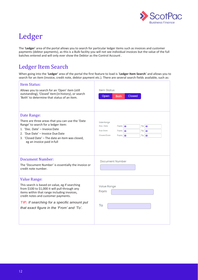

# <span id="page-11-0"></span>Ledger

The '**Ledger**' area of the portal allows you to search for particular ledger items such as invoices and customer payments (debtor payments), as this is a Bulk facility you will not see individual invoices but the value of the full batches entered and will only ever show the Debtor as the Control Account .

#### <span id="page-11-1"></span>Ledger Item Search

When going into the '**Ledger**' area of the portal the first feature to load is '**Ledger Item Search**' and allows you to search for an item (invoice, credit note, debtor payment etc.). There are several search fields available, such as:

| <b>Item Status:</b><br>Allows you to search for an 'Open' item (still<br>outstanding), 'Closed' item (in history), or search<br>'Both' to determine that status of an item.                                                                                                                                      | <b>Item Status</b><br>Closed<br>Open<br><b>Both</b>                                                              |
|------------------------------------------------------------------------------------------------------------------------------------------------------------------------------------------------------------------------------------------------------------------------------------------------------------------|------------------------------------------------------------------------------------------------------------------|
| Date Range:<br>There are three areas that you can use the 'Date<br>Range' to search for a ledger item:<br>1. 'Doc. Date' - Invoice Date<br>2. 'Due Date' - Invoice Due Date<br>3. 'Closed Date' - The date an item was closed,<br>eg an invoice paid in full                                                     | Date Range<br>Doc. Date<br>From   論<br>To<br>兽<br>Due Date<br>From   論<br>To I<br><b>Closed Date</b><br>鱛<br>Tol |
| <b>Document Number:</b><br>The 'Document Number' is essentially the invoice or<br>credit note number.                                                                                                                                                                                                            | Document Number                                                                                                  |
| <b>Value Range:</b><br>This search is based on value, eg if searching<br>from \$100 to \$1,000 it will pull through any<br>items within that range including invoices,<br>credit notes and customer payments.<br><b>TIP:</b> If searching for a specific amount put<br>that exact figure in the 'From' and 'To'. | <b>Value Range</b><br>From<br>To                                                                                 |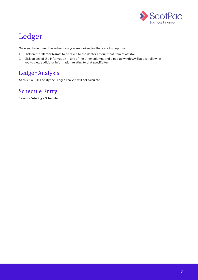

# Ledger

Once you have found the ledger item you are looking for there are two options:

- 1. Click on the '**Debtor Name**' to be taken to the debtor account that item relatesto OR
- 2. Click on any of the information in any of the other columns and a pop up windowwill appear allowing you to view additional information relating to that specific item.

### <span id="page-12-0"></span>Ledger Analysis

As this is a Bulk Facility the Ledger Analysis will not calculate.

### <span id="page-12-1"></span>Schedule Entry

Refer to **Entering a Schedule**.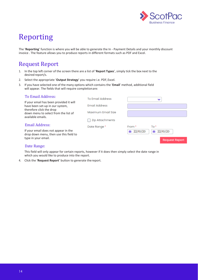

### <span id="page-13-0"></span>Reporting

The '**Reporting**' function is where you will be able to generate the In - Payment Details and your monthly discount invoice . The feature allows you to produce reports in different formats such as PDF and Excel.

### <span id="page-13-1"></span>Request Report

- 1. In the top left corner of the screen there are a list of '**Report Types**', simply tick the box next to the desired report/s.
- 2. Select the appropriate '**Output Strategy**' you require i.e. PDF,Excel.
- 3. If you have selected one of the many options which contains the '**Email**' method, additional field will appear. The fields that will require completionare:

| <b>To Email Address:</b>                                                              | <b>To Email Address</b> |                             |
|---------------------------------------------------------------------------------------|-------------------------|-----------------------------|
| If your email has been provided it will<br>have been set-up in our system,            | <b>Email Address</b>    |                             |
| therefore click the drop<br>down menu to select from the list of<br>available emails. | Maximum Email Size      |                             |
|                                                                                       | <b>Zip Attachments</b>  |                             |
| <b>Email Address:</b>                                                                 | Date Range*             | From <sup>*</sup><br>$To*$  |
| If your email does not appear in the<br>drop down menu, then use this field to        |                         | ■ 22/10/20<br>22/10/20<br>鯩 |
| type in your email.                                                                   |                         | <b>Request Report</b>       |
| Date Range:                                                                           |                         |                             |

This field will only appear for certain reports, however if it does then simply select the date range in which you would like to produce into the report.

4. Click the '**Request Report**' button to generate thereport.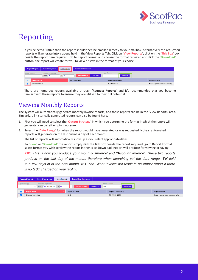

### Reporting

If you selected '**Email'** then the report should then be emailed directly to your mailbox. Alternatively the requested reports will generate into a queue held in the View Reports Tab. Click on '**View Reports**', click on the '**Tick Box**' box beside the report item required . Go to Report Format and choose the format required and click the '**Download**' button, the report will create for you to view or save in the format of your choice.

|                                                                  | <b>Report Templates</b><br><b>Request Report</b> | <b>View Reports</b> | <b>Portal Help Resources</b> |                                                         |                               |
|------------------------------------------------------------------|--------------------------------------------------|---------------------|------------------------------|---------------------------------------------------------|-------------------------------|
| <b>Reports Requested</b><br><b>Output Strategy</b><br>From #<br> |                                                  |                     | <b>Retrieve Reports</b>      | <b>Report Format</b><br><b>Clear Errors</b><br>Download |                               |
|                                                                  | <b>Report Name</b>                               |                     | <b>Report Number</b>         | <b>Request Timestamp</b>                                | <b>Request Status</b>         |
|                                                                  | Open Invoices                                    |                     |                              | 31/08/20 12:13                                          | Report generated successfully |

There are numerous reports available through '**Request Reports**' and it's recommended that you become familiar with these reports to ensure they are utilised to their full potential. .

### <span id="page-14-0"></span>Viewing Monthly Reports

The system will automatically generate monthly invoice reports, and these reports can be in the 'View Reports' area. Similarly, all historically generated reports can also be found here.

- 1. First you will need to select the '**Output Strategy**' in which you determine the format inwhich the report will generate, can be left empty if notsure.
- 2. Select the '**Date Range**' for when the report would have generated or was requested. Noteall automated reports will generate on the last business day of eachmonth.
- 3. The list of reports will automatically show up as you select appropriatedates.

To '**View**' or '**Download**' the report simply click the tick box beside the report required, go to Report Format select format you wish to view the report in then click Download. Report will produce for viewing or saving.

*TIP: This is how you produce your monthly 'Invoice' and 'Discount Invoice'. These two reports produce on the last day of the month, therefore when searching set the date range 'To' field*  to a few days in of the new month. NB. The Client Invoice will result in an empty report if there *is no GST charged on yourfacility.*

|                                                                                               | <b>Request Report</b> | <b>Report Templates</b> | <b>View Reports</b> | <b>Portal Help Resources</b>                   |     |                                  |                               |
|-----------------------------------------------------------------------------------------------|-----------------------|-------------------------|---------------------|------------------------------------------------|-----|----------------------------------|-------------------------------|
| Output Strategy<br><b>Reports Requested</b><br>From $\sin 30/09/20$ To $\sin$<br>$\checkmark$ |                       |                         |                     | <b>Clear Errors</b><br><b>Retrieve Reports</b> | pdf | Report Format<br><b>Download</b> |                               |
|                                                                                               | <b>Report Name</b>    |                         |                     | <b>Report Number</b>                           |     | <b>Request Timestamp</b>         | <b>Request Status</b>         |
| $\overline{\mathbf{v}}$                                                                       | Discount invoice      |                         |                     | 2510                                           |     | 30/09/20 23:15                   | Report generated successfully |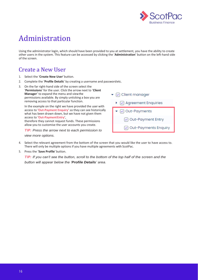

# <span id="page-15-0"></span>Administration

Using the administrator login, which should have been provided to you at settlement, you have the ability to create other users in the system. This feature can be accessed by clicking the '**Administration**' button on the left-hand side of the screen.

#### <span id="page-15-1"></span>Create a New User

- 1. Select the '**Create New User**' button.
- 2. Complete the '**Profile Details**' by creating a username and passwordetc.
- 3. On the far right-hand side of the screen select the '**Permissions**' for the user. Click the arrow next to '**Client Manager**' to expand the menu and viewthe permissions available. By simply unticking a box you are removing access to that particular function.

In the example on the right we have provided the user with access to '**Out-Payment Enquiry**' so they can see historically what has been drawn down, but we have not given them access to '**Out-PaymentEntry**', therefore they cannot request funds. These permissions

allow you to customise the user accounts you create.

*TIP: Press the arrow next to each permission to* 

 $\blacktriangleright$   $\lnot$  Client manager  $\sqrt{ }$  Agreement Enquiries ◯ Out-Payments ◯ Out-Payment Entry Out-Payments Enquiry

*view more options.*

- 4. Select the relevant agreement from the bottom of the screen that you would like the user to have access to. There will only be multiple options if you have multiple agreements with ScotPac.
- 5. Press the '**Save Profile**' button.

*TIP: If you can't see the button, scroll to the bottom of the top half of the screen and the button will appear below the 'Profile Details' area.*